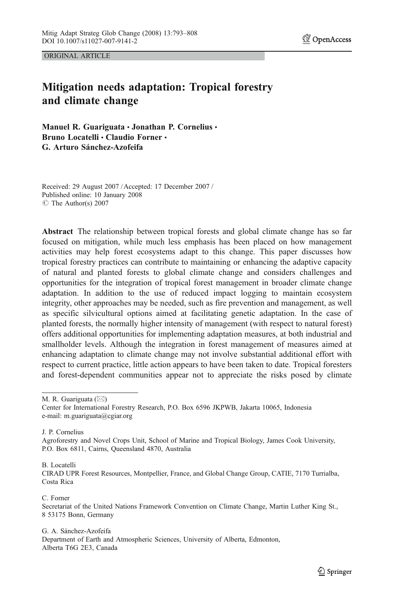ORIGINAL ARTICLE

# Mitigation needs adaptation: Tropical forestry and climate change

Manuel R. Guariguata · Jonathan P. Cornelius · Bruno Locatelli · Claudio Forner · G. Arturo Sánchez-Azofeifa

Received: 29 August 2007 / Accepted: 17 December 2007 / Published online: 10 January 2008  $\circ$  The Author(s) 2007

Abstract The relationship between tropical forests and global climate change has so far focused on mitigation, while much less emphasis has been placed on how management activities may help forest ecosystems adapt to this change. This paper discusses how tropical forestry practices can contribute to maintaining or enhancing the adaptive capacity of natural and planted forests to global climate change and considers challenges and opportunities for the integration of tropical forest management in broader climate change adaptation. In addition to the use of reduced impact logging to maintain ecosystem integrity, other approaches may be needed, such as fire prevention and management, as well as specific silvicultural options aimed at facilitating genetic adaptation. In the case of planted forests, the normally higher intensity of management (with respect to natural forest) offers additional opportunities for implementing adaptation measures, at both industrial and smallholder levels. Although the integration in forest management of measures aimed at enhancing adaptation to climate change may not involve substantial additional effort with respect to current practice, little action appears to have been taken to date. Tropical foresters and forest-dependent communities appear not to appreciate the risks posed by climate

M. R. Guariguata ( $\boxtimes$ )

J. P. Cornelius

B. Locatelli

CIRAD UPR Forest Resources, Montpellier, France, and Global Change Group, CATIE, 7170 Turrialba, Costa Rica

C. Forner

Secretariat of the United Nations Framework Convention on Climate Change, Martin Luther King St., 8 53175 Bonn, Germany

G. A. Sánchez-Azofeifa Department of Earth and Atmospheric Sciences, University of Alberta, Edmonton, Alberta T6G 2E3, Canada

Center for International Forestry Research, P.O. Box 6596 JKPWB, Jakarta 10065, Indonesia e-mail: m.guariguata@cgiar.org

Agroforestry and Novel Crops Unit, School of Marine and Tropical Biology, James Cook University, P.O. Box 6811, Cairns, Queensland 4870, Australia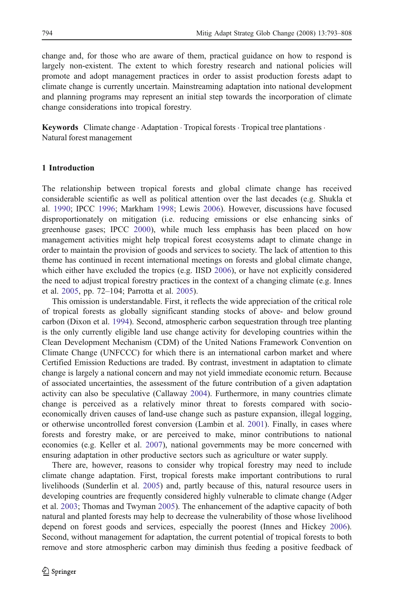change and, for those who are aware of them, practical guidance on how to respond is largely non-existent. The extent to which forestry research and national policies will promote and adopt management practices in order to assist production forests adapt to climate change is currently uncertain. Mainstreaming adaptation into national development and planning programs may represent an initial step towards the incorporation of climate change considerations into tropical forestry.

Keywords Climate change · Adaptation · Tropical forests · Tropical tree plantations · Natural forest management

# 1 Introduction

The relationship between tropical forests and global climate change has received considerable scientific as well as political attention over the last decades (e.g. Shukla et al. [1990;](#page-14-0) IPCC [1996](#page-12-0); Markham [1998](#page-13-0); Lewis [2006\)](#page-13-0). However, discussions have focused disproportionately on mitigation (i.e. reducing emissions or else enhancing sinks of greenhouse gases; IPCC [2000](#page-12-0)), while much less emphasis has been placed on how management activities might help tropical forest ecosystems adapt to climate change in order to maintain the provision of goods and services to society. The lack of attention to this theme has continued in recent international meetings on forests and global climate change, which either have excluded the tropics (e.g. IISD [2006](#page-12-0)), or have not explicitly considered the need to adjust tropical forestry practices in the context of a changing climate (e.g. Innes et al. [2005,](#page-12-0) pp. 72–104; Parrotta et al. [2005\)](#page-14-0).

This omission is understandable. First, it reflects the wide appreciation of the critical role of tropical forests as globally significant standing stocks of above- and below ground carbon (Dixon et al. [1994](#page-11-0)). Second, atmospheric carbon sequestration through tree planting is the only currently eligible land use change activity for developing countries within the Clean Development Mechanism (CDM) of the United Nations Framework Convention on Climate Change (UNFCCC) for which there is an international carbon market and where Certified Emission Reductions are traded. By contrast, investment in adaptation to climate change is largely a national concern and may not yield immediate economic return. Because of associated uncertainties, the assessment of the future contribution of a given adaptation activity can also be speculative (Callaway [2004](#page-11-0)). Furthermore, in many countries climate change is perceived as a relatively minor threat to forests compared with socioeconomically driven causes of land-use change such as pasture expansion, illegal logging, or otherwise uncontrolled forest conversion (Lambin et al. [2001](#page-13-0)). Finally, in cases where forests and forestry make, or are perceived to make, minor contributions to national economies (e.g. Keller et al. [2007](#page-13-0)), national governments may be more concerned with ensuring adaptation in other productive sectors such as agriculture or water supply.

There are, however, reasons to consider why tropical forestry may need to include climate change adaptation. First, tropical forests make important contributions to rural livelihoods (Sunderlin et al. [2005\)](#page-14-0) and, partly because of this, natural resource users in developing countries are frequently considered highly vulnerable to climate change (Adger et al. [2003;](#page-10-0) Thomas and Twyman [2005](#page-15-0)). The enhancement of the adaptive capacity of both natural and planted forests may help to decrease the vulnerability of those whose livelihood depend on forest goods and services, especially the poorest (Innes and Hickey [2006](#page-12-0)). Second, without management for adaptation, the current potential of tropical forests to both remove and store atmospheric carbon may diminish thus feeding a positive feedback of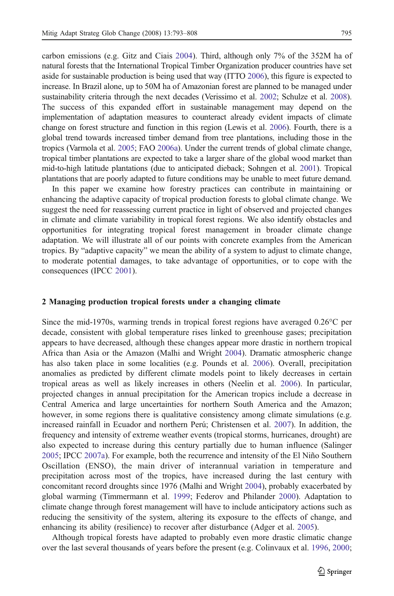carbon emissions (e.g. Gitz and Ciais [2004\)](#page-12-0). Third, although only 7% of the 352M ha of natural forests that the International Tropical Timber Organization producer countries have set aside for sustainable production is being used that way (ITTO [2006\)](#page-12-0), this figure is expected to increase. In Brazil alone, up to 50M ha of Amazonian forest are planned to be managed under sustainability criteria through the next decades (Verissimo et al. [2002;](#page-15-0) Schulze et al. [2008](#page-14-0)). The success of this expanded effort in sustainable management may depend on the implementation of adaptation measures to counteract already evident impacts of climate change on forest structure and function in this region (Lewis et al. [2006](#page-13-0)). Fourth, there is a global trend towards increased timber demand from tree plantations, including those in the tropics (Varmola et al. [2005](#page-15-0); FAO [2006a](#page-11-0)). Under the current trends of global climate change, tropical timber plantations are expected to take a larger share of the global wood market than mid-to-high latitude plantations (due to anticipated dieback; Sohngen et al. [2001](#page-14-0)). Tropical plantations that are poorly adapted to future conditions may be unable to meet future demand.

In this paper we examine how forestry practices can contribute in maintaining or enhancing the adaptive capacity of tropical production forests to global climate change. We suggest the need for reassessing current practice in light of observed and projected changes in climate and climate variability in tropical forest regions. We also identify obstacles and opportunities for integrating tropical forest management in broader climate change adaptation. We will illustrate all of our points with concrete examples from the American tropics. By "adaptive capacity" we mean the ability of a system to adjust to climate change, to moderate potential damages, to take advantage of opportunities, or to cope with the consequences (IPCC [2001\)](#page-12-0).

# 2 Managing production tropical forests under a changing climate

Since the mid-1970s, warming trends in tropical forest regions have averaged 0.26°C per decade, consistent with global temperature rises linked to greenhouse gases; precipitation appears to have decreased, although these changes appear more drastic in northern tropical Africa than Asia or the Amazon (Malhi and Wright [2004\)](#page-13-0). Dramatic atmospheric change has also taken place in some localities (e.g. Pounds et al. [2006](#page-14-0)). Overall, precipitation anomalies as predicted by different climate models point to likely decreases in certain tropical areas as well as likely increases in others (Neelin et al. [2006](#page-13-0)). In particular, projected changes in annual precipitation for the American tropics include a decrease in Central America and large uncertainties for northern South America and the Amazon; however, in some regions there is qualitative consistency among climate simulations (e.g. increased rainfall in Ecuador and northern Perú; Christensen et al. [2007\)](#page-11-0). In addition, the frequency and intensity of extreme weather events (tropical storms, hurricanes, drought) are also expected to increase during this century partially due to human influence (Salinger [2005;](#page-14-0) IPCC [2007a](#page-12-0)). For example, both the recurrence and intensity of the El Niño Southern Oscillation (ENSO), the main driver of interannual variation in temperature and precipitation across most of the tropics, have increased during the last century with concomitant record droughts since 1976 (Malhi and Wright [2004](#page-13-0)), probably exacerbated by global warming (Timmermann et al. [1999](#page-15-0); Federov and Philander [2000](#page-11-0)). Adaptation to climate change through forest management will have to include anticipatory actions such as reducing the sensitivity of the system, altering its exposure to the effects of change, and enhancing its ability (resilience) to recover after disturbance (Adger et al. [2005\)](#page-10-0).

Although tropical forests have adapted to probably even more drastic climatic change over the last several thousands of years before the present (e.g. Colinvaux et al. [1996](#page-11-0), [2000](#page-11-0);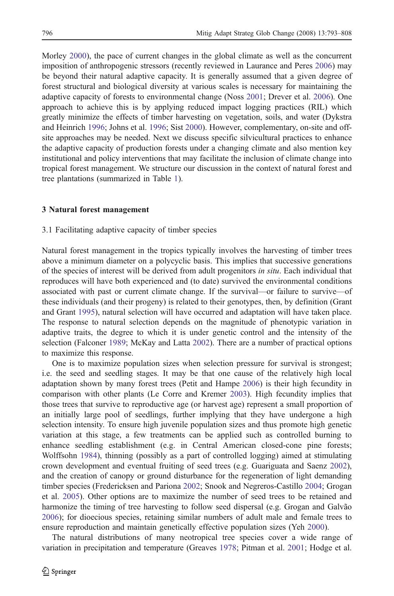Morley [2000](#page-13-0)), the pace of current changes in the global climate as well as the concurrent imposition of anthropogenic stressors (recently reviewed in Laurance and Peres [2006\)](#page-13-0) may be beyond their natural adaptive capacity. It is generally assumed that a given degree of forest structural and biological diversity at various scales is necessary for maintaining the adaptive capacity of forests to environmental change (Noss [2001;](#page-13-0) Drever et al. [2006\)](#page-11-0). One approach to achieve this is by applying reduced impact logging practices (RIL) which greatly minimize the effects of timber harvesting on vegetation, soils, and water (Dykstra and Heinrich [1996;](#page-11-0) Johns et al. [1996](#page-12-0); Sist [2000\)](#page-14-0). However, complementary, on-site and offsite approaches may be needed. Next we discuss specific silvicultural practices to enhance the adaptive capacity of production forests under a changing climate and also mention key institutional and policy interventions that may facilitate the inclusion of climate change into tropical forest management. We structure our discussion in the context of natural forest and tree plantations (summarized in Table [1\)](#page-4-0).

## 3 Natural forest management

## 3.1 Facilitating adaptive capacity of timber species

Natural forest management in the tropics typically involves the harvesting of timber trees above a minimum diameter on a polycyclic basis. This implies that successive generations of the species of interest will be derived from adult progenitors *in situ*. Each individual that reproduces will have both experienced and (to date) survived the environmental conditions associated with past or current climate change. If the survival––or failure to survive—of these individuals (and their progeny) is related to their genotypes, then, by definition (Grant and Grant [1995](#page-12-0)), natural selection will have occurred and adaptation will have taken place. The response to natural selection depends on the magnitude of phenotypic variation in adaptive traits, the degree to which it is under genetic control and the intensity of the selection (Falconer [1989](#page-11-0); McKay and Latta [2002\)](#page-13-0). There are a number of practical options to maximize this response.

One is to maximize population sizes when selection pressure for survival is strongest; i.e. the seed and seedling stages. It may be that one cause of the relatively high local adaptation shown by many forest trees (Petit and Hampe [2006\)](#page-14-0) is their high fecundity in comparison with other plants (Le Corre and Kremer [2003\)](#page-13-0). High fecundity implies that those trees that survive to reproductive age (or harvest age) represent a small proportion of an initially large pool of seedlings, further implying that they have undergone a high selection intensity. To ensure high juvenile population sizes and thus promote high genetic variation at this stage, a few treatments can be applied such as controlled burning to enhance seedling establishment (e.g. in Central American closed-cone pine forests; Wolffsohn [1984](#page-15-0)), thinning (possibly as a part of controlled logging) aimed at stimulating crown development and eventual fruiting of seed trees (e.g. Guariguata and Saenz [2002](#page-12-0)), and the creation of canopy or ground disturbance for the regeneration of light demanding timber species (Fredericksen and Pariona [2002](#page-11-0); Snook and Negreros-Castillo [2004](#page-14-0); Grogan et al. [2005\)](#page-12-0). Other options are to maximize the number of seed trees to be retained and harmonize the timing of tree harvesting to follow seed dispersal (e.g. Grogan and Galvão [2006\)](#page-12-0); for dioecious species, retaining similar numbers of adult male and female trees to ensure reproduction and maintain genetically effective population sizes (Yeh [2000](#page-15-0)).

The natural distributions of many neotropical tree species cover a wide range of variation in precipitation and temperature (Greaves [1978;](#page-12-0) Pitman et al. [2001;](#page-14-0) Hodge et al.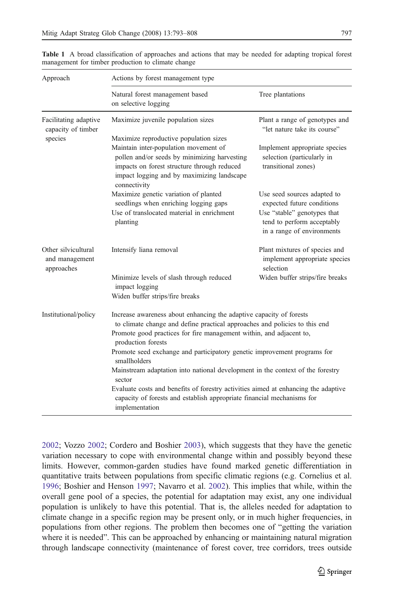| Actions by forest management type                                                                                                                                                                  |                                                                                                                                                      |
|----------------------------------------------------------------------------------------------------------------------------------------------------------------------------------------------------|------------------------------------------------------------------------------------------------------------------------------------------------------|
| Natural forest management based<br>on selective logging                                                                                                                                            | Tree plantations                                                                                                                                     |
| Maximize juvenile population sizes                                                                                                                                                                 | Plant a range of genotypes and<br>"let nature take its course"                                                                                       |
| Maximize reproductive population sizes                                                                                                                                                             |                                                                                                                                                      |
| Maintain inter-population movement of<br>pollen and/or seeds by minimizing harvesting<br>impacts on forest structure through reduced<br>impact logging and by maximizing landscape<br>connectivity | Implement appropriate species<br>selection (particularly in<br>transitional zones)                                                                   |
| Maximize genetic variation of planted<br>seedlings when enriching logging gaps<br>Use of translocated material in enrichment<br>planting                                                           | Use seed sources adapted to<br>expected future conditions<br>Use "stable" genotypes that<br>tend to perform acceptably<br>in a range of environments |
| Intensify liana removal                                                                                                                                                                            | Plant mixtures of species and<br>implement appropriate species<br>selection                                                                          |
| Minimize levels of slash through reduced<br>impact logging                                                                                                                                         | Widen buffer strips/fire breaks                                                                                                                      |
| Widen buffer strips/fire breaks                                                                                                                                                                    |                                                                                                                                                      |
| Institutional/policy<br>Increase awareness about enhancing the adaptive capacity of forests<br>to climate change and define practical approaches and policies to this end                          |                                                                                                                                                      |
| Promote good practices for fire management within, and adjacent to,<br>production forests                                                                                                          |                                                                                                                                                      |
| Promote seed exchange and participatory genetic improvement programs for<br>smallholders                                                                                                           |                                                                                                                                                      |
| Mainstream adaptation into national development in the context of the forestry<br>sector                                                                                                           |                                                                                                                                                      |
| Evaluate costs and benefits of forestry activities aimed at enhancing the adaptive<br>capacity of forests and establish appropriate financial mechanisms for<br>implementation                     |                                                                                                                                                      |
|                                                                                                                                                                                                    |                                                                                                                                                      |

<span id="page-4-0"></span>Table 1 A broad classification of approaches and actions that may be needed for adapting tropical forest management for timber production to climate change

[2002;](#page-12-0) Vozzo [2002;](#page-15-0) Cordero and Boshier [2003](#page-11-0)), which suggests that they have the genetic variation necessary to cope with environmental change within and possibly beyond these limits. However, common-garden studies have found marked genetic differentiation in quantitative traits between populations from specific climatic regions (e.g. Cornelius et al. [1996;](#page-11-0) Boshier and Henson [1997](#page-11-0); Navarro et al. [2002\)](#page-13-0). This implies that while, within the overall gene pool of a species, the potential for adaptation may exist, any one individual population is unlikely to have this potential. That is, the alleles needed for adaptation to climate change in a specific region may be present only, or in much higher frequencies, in populations from other regions. The problem then becomes one of "getting the variation where it is needed". This can be approached by enhancing or maintaining natural migration through landscape connectivity (maintenance of forest cover, tree corridors, trees outside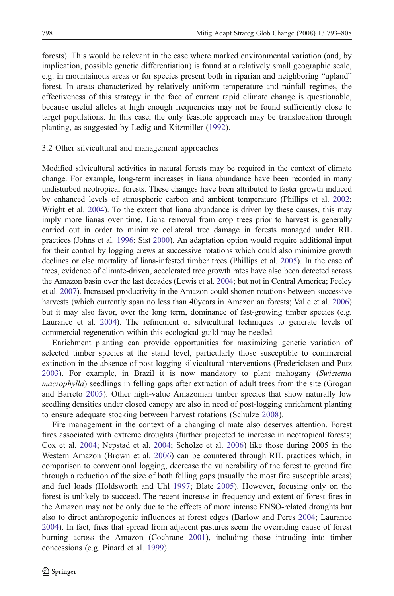forests). This would be relevant in the case where marked environmental variation (and, by implication, possible genetic differentiation) is found at a relatively small geographic scale, e.g. in mountainous areas or for species present both in riparian and neighboring "upland" forest. In areas characterized by relatively uniform temperature and rainfall regimes, the effectiveness of this strategy in the face of current rapid climate change is questionable, because useful alleles at high enough frequencies may not be found sufficiently close to target populations. In this case, the only feasible approach may be translocation through planting, as suggested by Ledig and Kitzmiller ([1992\)](#page-13-0).

## 3.2 Other silvicultural and management approaches

Modified silvicultural activities in natural forests may be required in the context of climate change. For example, long-term increases in liana abundance have been recorded in many undisturbed neotropical forests. These changes have been attributed to faster growth induced by enhanced levels of atmospheric carbon and ambient temperature (Phillips et al. [2002](#page-14-0); Wright et al. [2004\)](#page-15-0). To the extent that liana abundance is driven by these causes, this may imply more lianas over time. Liana removal from crop trees prior to harvest is generally carried out in order to minimize collateral tree damage in forests managed under RIL practices (Johns et al. [1996;](#page-12-0) Sist [2000](#page-14-0)). An adaptation option would require additional input for their control by logging crews at successive rotations which could also minimize growth declines or else mortality of liana-infested timber trees (Phillips et al. [2005\)](#page-14-0). In the case of trees, evidence of climate-driven, accelerated tree growth rates have also been detected across the Amazon basin over the last decades (Lewis et al. [2004](#page-13-0); but not in Central America; Feeley et al. [2007](#page-11-0)). Increased productivity in the Amazon could shorten rotations between successive harvests (which currently span no less than 40years in Amazonian forests; Valle et al. [2006\)](#page-15-0) but it may also favor, over the long term, dominance of fast-growing timber species (e.g. Laurance et al. [2004](#page-13-0)). The refinement of silvicultural techniques to generate levels of commercial regeneration within this ecological guild may be needed.

Enrichment planting can provide opportunities for maximizing genetic variation of selected timber species at the stand level, particularly those susceptible to commercial extinction in the absence of post-logging silvicultural interventions (Fredericksen and Putz [2003\)](#page-12-0). For example, in Brazil it is now mandatory to plant mahogany (Swietenia macrophylla) seedlings in felling gaps after extraction of adult trees from the site (Grogan and Barreto [2005](#page-12-0)). Other high-value Amazonian timber species that show naturally low seedling densities under closed canopy are also in need of post-logging enrichment planting to ensure adequate stocking between harvest rotations (Schulze [2008](#page-14-0)).

Fire management in the context of a changing climate also deserves attention. Forest fires associated with extreme droughts (further projected to increase in neotropical forests; Cox et al. [2004](#page-11-0); Nepstad et al. [2004](#page-13-0); Scholze et al. [2006\)](#page-14-0) like those during 2005 in the Western Amazon (Brown et al. [2006\)](#page-11-0) can be countered through RIL practices which, in comparison to conventional logging, decrease the vulnerability of the forest to ground fire through a reduction of the size of both felling gaps (usually the most fire susceptible areas) and fuel loads (Holdsworth and Uhl [1997](#page-12-0); Blate [2005](#page-11-0)). However, focusing only on the forest is unlikely to succeed. The recent increase in frequency and extent of forest fires in the Amazon may not be only due to the effects of more intense ENSO-related droughts but also to direct anthropogenic influences at forest edges (Barlow and Peres [2004;](#page-11-0) Laurance [2004\)](#page-13-0). In fact, fires that spread from adjacent pastures seem the overriding cause of forest burning across the Amazon (Cochrane [2001\)](#page-11-0), including those intruding into timber concessions (e.g. Pinard et al. [1999](#page-14-0)).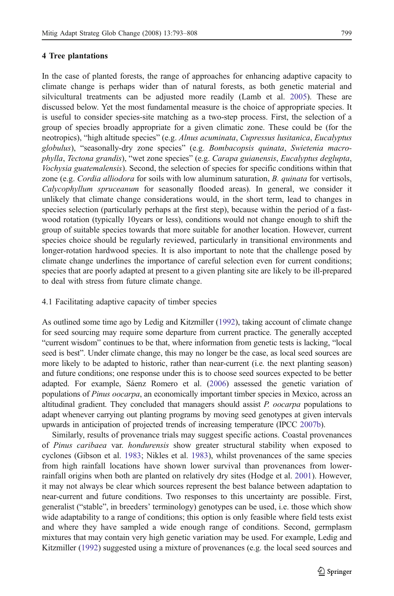## 4 Tree plantations

In the case of planted forests, the range of approaches for enhancing adaptive capacity to climate change is perhaps wider than of natural forests, as both genetic material and silvicultural treatments can be adjusted more readily (Lamb et al. [2005\)](#page-13-0). These are discussed below. Yet the most fundamental measure is the choice of appropriate species. It is useful to consider species-site matching as a two-step process. First, the selection of a group of species broadly appropriate for a given climatic zone. These could be (for the neotropics), "high altitude species" (e.g. Alnus acuminata, Cupressus lusitanica, Eucalyptus globulus), "seasonally-dry zone species" (e.g. Bombacopsis quinata, Swietenia macrophylla, Tectona grandis), "wet zone species" (e.g. Carapa guianensis, Eucalyptus deglupta, Vochysia guatemalensis). Second, the selection of species for specific conditions within that zone (e.g. *Cordia alliodora* for soils with low aluminum saturation, *B. quinata* for vertisols, Calycophyllum spruceanum for seasonally flooded areas). In general, we consider it unlikely that climate change considerations would, in the short term, lead to changes in species selection (particularly perhaps at the first step), because within the period of a fastwood rotation (typically 10years or less), conditions would not change enough to shift the group of suitable species towards that more suitable for another location. However, current species choice should be regularly reviewed, particularly in transitional environments and longer-rotation hardwood species. It is also important to note that the challenge posed by climate change underlines the importance of careful selection even for current conditions; species that are poorly adapted at present to a given planting site are likely to be ill-prepared to deal with stress from future climate change.

# 4.1 Facilitating adaptive capacity of timber species

As outlined some time ago by Ledig and Kitzmiller ([1992](#page-13-0)), taking account of climate change for seed sourcing may require some departure from current practice. The generally accepted "current wisdom" continues to be that, where information from genetic tests is lacking, "local seed is best". Under climate change, this may no longer be the case, as local seed sources are more likely to be adapted to historic, rather than near-current (i.e. the next planting season) and future conditions; one response under this is to choose seed sources expected to be better adapted. For example, Sáenz Romero et al. ([2006](#page-14-0)) assessed the genetic variation of populations of Pinus oocarpa, an economically important timber species in Mexico, across an altitudinal gradient. They concluded that managers should assist P. oocarpa populations to adapt whenever carrying out planting programs by moving seed genotypes at given intervals upwards in anticipation of projected trends of increasing temperature (IPCC [2007b\)](#page-12-0).

Similarly, results of provenance trials may suggest specific actions. Coastal provenances of Pinus caribaea var. hondurensis show greater structural stability when exposed to cyclones (Gibson et al. [1983;](#page-12-0) Nikles et al. [1983](#page-13-0)), whilst provenances of the same species from high rainfall locations have shown lower survival than provenances from lowerrainfall origins when both are planted on relatively dry sites (Hodge et al. [2001\)](#page-12-0). However, it may not always be clear which sources represent the best balance between adaptation to near-current and future conditions. Two responses to this uncertainty are possible. First, generalist ("stable", in breeders' terminology) genotypes can be used, i.e. those which show wide adaptability to a range of conditions; this option is only feasible where field tests exist and where they have sampled a wide enough range of conditions. Second, germplasm mixtures that may contain very high genetic variation may be used. For example, Ledig and Kitzmiller ([1992](#page-13-0)) suggested using a mixture of provenances (e.g. the local seed sources and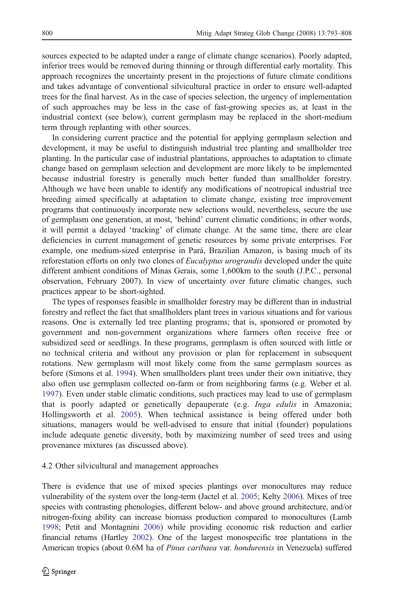sources expected to be adapted under a range of climate change scenarios). Poorly adapted, inferior trees would be removed during thinning or through differential early mortality. This approach recognizes the uncertainty present in the projections of future climate conditions and takes advantage of conventional silvicultural practice in order to ensure well-adapted trees for the final harvest. As in the case of species selection, the urgency of implementation of such approaches may be less in the case of fast-growing species as, at least in the industrial context (see below), current germplasm may be replaced in the short-medium term through replanting with other sources.

In considering current practice and the potential for applying germplasm selection and development, it may be useful to distinguish industrial tree planting and smallholder tree planting. In the particular case of industrial plantations, approaches to adaptation to climate change based on germplasm selection and development are more likely to be implemented because industrial forestry is generally much better funded than smallholder forestry. Although we have been unable to identify any modifications of neotropical industrial tree breeding aimed specifically at adaptation to climate change, existing tree improvement programs that continuously incorporate new selections would, nevertheless, secure the use of germplasm one generation, at most, 'behind' current climatic conditions; in other words, it will permit a delayed 'tracking' of climate change. At the same time, there are clear deficiencies in current management of genetic resources by some private enterprises. For example, one medium-sized enterprise in Pará, Brazilian Amazon, is basing much of its reforestation efforts on only two clones of *Eucalyptus urograndis* developed under the quite different ambient conditions of Minas Gerais, some 1,600km to the south (J.P.C., personal observation, February 2007). In view of uncertainty over future climatic changes, such practices appear to be short-sighted.

The types of responses feasible in smallholder forestry may be different than in industrial forestry and reflect the fact that smallholders plant trees in various situations and for various reasons. One is externally led tree planting programs; that is, sponsored or promoted by government and non-government organizations where farmers often receive free or subsidized seed or seedlings. In these programs, germplasm is often sourced with little or no technical criteria and without any provision or plan for replacement in subsequent rotations. New germplasm will most likely come from the same germplasm sources as before (Simons et al. [1994](#page-14-0)). When smallholders plant trees under their own initiative, they also often use germplasm collected on-farm or from neighboring farms (e.g. Weber et al. [1997\)](#page-15-0). Even under stable climatic conditions, such practices may lead to use of germplasm that is poorly adapted or genetically depauperate (e.g. *Inga edulis* in Amazonia; Hollingsworth et al. [2005\)](#page-12-0). When technical assistance is being offered under both situations, managers would be well-advised to ensure that initial (founder) populations include adequate genetic diversity, both by maximizing number of seed trees and using provenance mixtures (as discussed above).

#### 4.2 Other silvicultural and management approaches

There is evidence that use of mixed species plantings over monocultures may reduce vulnerability of the system over the long-term (Jactel et al. [2005](#page-12-0); Kelty [2006](#page-13-0)). Mixes of tree species with contrasting phenologies, different below- and above ground architecture, and/or nitrogen-fixing ability can increase biomass production compared to monocultures (Lamb [1998](#page-13-0); Petit and Montagnini [2006\)](#page-14-0) while providing economic risk reduction and earlier financial returns (Hartley [2002](#page-12-0)). One of the largest monospecific tree plantations in the American tropics (about 0.6M ha of *Pinus caribaea var. hondurensis* in Venezuela) suffered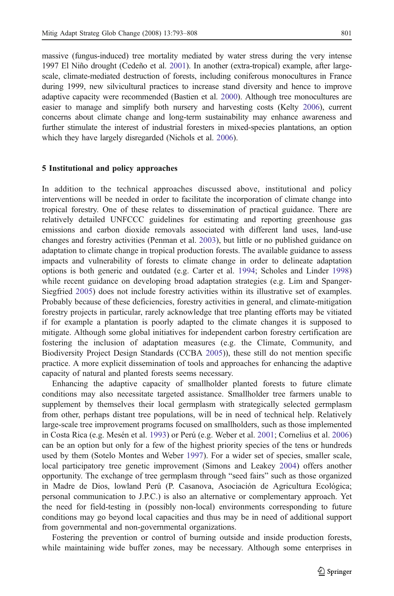massive (fungus-induced) tree mortality mediated by water stress during the very intense 1997 El Niño drought (Cedeño et al. [2001\)](#page-11-0). In another (extra-tropical) example, after largescale, climate-mediated destruction of forests, including coniferous monocultures in France during 1999, new silvicultural practices to increase stand diversity and hence to improve adaptive capacity were recommended (Bastien et al. [2000\)](#page-11-0). Although tree monocultures are easier to manage and simplify both nursery and harvesting costs (Kelty [2006\)](#page-13-0), current concerns about climate change and long-term sustainability may enhance awareness and further stimulate the interest of industrial foresters in mixed-species plantations, an option which they have largely disregarded (Nichols et al. [2006](#page-13-0)).

## 5 Institutional and policy approaches

In addition to the technical approaches discussed above, institutional and policy interventions will be needed in order to facilitate the incorporation of climate change into tropical forestry. One of these relates to dissemination of practical guidance. There are relatively detailed UNFCCC guidelines for estimating and reporting greenhouse gas emissions and carbon dioxide removals associated with different land uses, land-use changes and forestry activities (Penman et al. [2003](#page-14-0)), but little or no published guidance on adaptation to climate change in tropical production forests. The available guidance to assess impacts and vulnerability of forests to climate change in order to delineate adaptation options is both generic and outdated (e.g. Carter et al. [1994;](#page-11-0) Scholes and Linder [1998\)](#page-14-0) while recent guidance on developing broad adaptation strategies (e.g. Lim and Spanger-Siegfried [2005](#page-13-0)) does not include forestry activities within its illustrative set of examples. Probably because of these deficiencies, forestry activities in general, and climate-mitigation forestry projects in particular, rarely acknowledge that tree planting efforts may be vitiated if for example a plantation is poorly adapted to the climate changes it is supposed to mitigate. Although some global initiatives for independent carbon forestry certification are fostering the inclusion of adaptation measures (e.g. the Climate, Community, and Biodiversity Project Design Standards (CCBA [2005](#page-11-0))), these still do not mention specific practice. A more explicit dissemination of tools and approaches for enhancing the adaptive capacity of natural and planted forests seems necessary.

Enhancing the adaptive capacity of smallholder planted forests to future climate conditions may also necessitate targeted assistance. Smallholder tree farmers unable to supplement by themselves their local germplasm with strategically selected germplasm from other, perhaps distant tree populations, will be in need of technical help. Relatively large-scale tree improvement programs focused on smallholders, such as those implemented in Costa Rica (e.g. Mesén et al. [1993\)](#page-13-0) or Perú (e.g. Weber et al. [2001](#page-15-0); Cornelius et al. [2006\)](#page-11-0) can be an option but only for a few of the highest priority species of the tens or hundreds used by them (Sotelo Montes and Weber [1997\)](#page-14-0). For a wider set of species, smaller scale, local participatory tree genetic improvement (Simons and Leakey [2004\)](#page-14-0) offers another opportunity. The exchange of tree germplasm through "seed fairs" such as those organized in Madre de Dios, lowland Perú (P. Casanova, Asociación de Agricultura Ecológica; personal communication to J.P.C.) is also an alternative or complementary approach. Yet the need for field-testing in (possibly non-local) environments corresponding to future conditions may go beyond local capacities and thus may be in need of additional support from governmental and non-governmental organizations.

Fostering the prevention or control of burning outside and inside production forests, while maintaining wide buffer zones, may be necessary. Although some enterprises in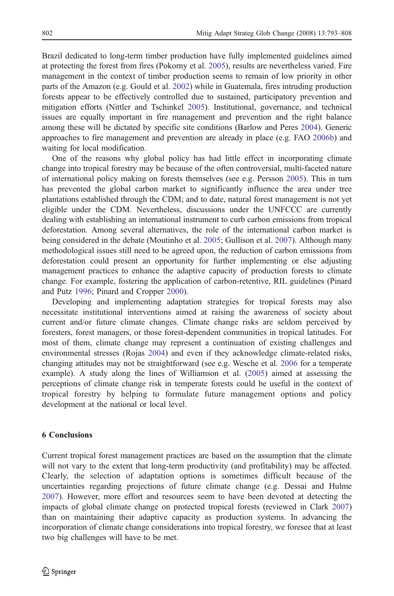Brazil dedicated to long-term timber production have fully implemented guidelines aimed at protecting the forest from fires (Pokorny et al. [2005\)](#page-14-0), results are nevertheless varied. Fire management in the context of timber production seems to remain of low priority in other parts of the Amazon (e.g. Gould et al. [2002\)](#page-12-0) while in Guatemala, fires intruding production forests appear to be effectively controlled due to sustained, participatory prevention and mitigation efforts (Nittler and Tschinkel [2005](#page-13-0)). Institutional, governance, and technical issues are equally important in fire management and prevention and the right balance among these will be dictated by specific site conditions (Barlow and Peres [2004\)](#page-11-0). Generic approaches to fire management and prevention are already in place (e.g. FAO [2006b\)](#page-11-0) and waiting for local modification.

One of the reasons why global policy has had little effect in incorporating climate change into tropical forestry may be because of the often controversial, multi-faceted nature of international policy making on forests themselves (see e.g. Persson [2005](#page-14-0)). This in turn has prevented the global carbon market to significantly influence the area under tree plantations established through the CDM; and to date, natural forest management is not yet eligible under the CDM. Nevertheless, discussions under the UNFCCC are currently dealing with establishing an international instrument to curb carbon emissions from tropical deforestation. Among several alternatives, the role of the international carbon market is being considered in the debate (Moutinho et al. [2005](#page-13-0); Gullison et al. [2007\)](#page-12-0). Although many methodological issues still need to be agreed upon, the reduction of carbon emissions from deforestation could present an opportunity for further implementing or else adjusting management practices to enhance the adaptive capacity of production forests to climate change. For example, fostering the application of carbon-retentive, RIL guidelines (Pinard and Putz [1996](#page-14-0); Pinard and Cropper [2000\)](#page-14-0).

Developing and implementing adaptation strategies for tropical forests may also necessitate institutional interventions aimed at raising the awareness of society about current and/or future climate changes. Climate change risks are seldom perceived by foresters, forest managers, or those forest-dependent communities in tropical latitudes. For most of them, climate change may represent a continuation of existing challenges and environmental stresses (Rojas [2004](#page-14-0)) and even if they acknowledge climate-related risks, changing attitudes may not be straightforward (see e.g. Wesche et al. [2006](#page-15-0) for a temperate example). A study along the lines of Williamson et al. ([2005](#page-15-0)) aimed at assessing the perceptions of climate change risk in temperate forests could be useful in the context of tropical forestry by helping to formulate future management options and policy development at the national or local level.

# 6 Conclusions

Current tropical forest management practices are based on the assumption that the climate will not vary to the extent that long-term productivity (and profitability) may be affected. Clearly, the selection of adaptation options is sometimes difficult because of the uncertainties regarding projections of future climate change (e.g. Dessai and Hulme [2007\)](#page-11-0). However, more effort and resources seem to have been devoted at detecting the impacts of global climate change on protected tropical forests (reviewed in Clark [2007\)](#page-11-0) than on maintaining their adaptive capacity as production systems. In advancing the incorporation of climate change considerations into tropical forestry, we foresee that at least two big challenges will have to be met.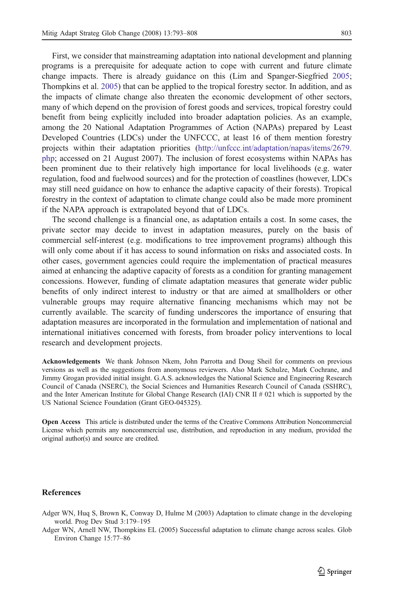<span id="page-10-0"></span>First, we consider that mainstreaming adaptation into national development and planning programs is a prerequisite for adequate action to cope with current and future climate change impacts. There is already guidance on this (Lim and Spanger-Siegfried [2005](#page-13-0); Thompkins et al. [2005\)](#page-15-0) that can be applied to the tropical forestry sector. In addition, and as the impacts of climate change also threaten the economic development of other sectors, many of which depend on the provision of forest goods and services, tropical forestry could benefit from being explicitly included into broader adaptation policies. As an example, among the 20 National Adaptation Programmes of Action (NAPAs) prepared by Least Developed Countries (LDCs) under the UNFCCC, at least 16 of them mention forestry projects within their adaptation priorities [\(http://unfccc.int/adaptation/napas/items/2679.](http://dx.doi.org/10.1016/j.foreco.2007.09.082) [php;](http://dx.doi.org/10.1016/j.foreco.2007.09.082) accessed on 21 August 2007). The inclusion of forest ecosystems within NAPAs has been prominent due to their relatively high importance for local livelihoods (e.g. water regulation, food and fuelwood sources) and for the protection of coastlines (however, LDCs may still need guidance on how to enhance the adaptive capacity of their forests). Tropical forestry in the context of adaptation to climate change could also be made more prominent if the NAPA approach is extrapolated beyond that of LDCs.

The second challenge is a financial one, as adaptation entails a cost. In some cases, the private sector may decide to invest in adaptation measures, purely on the basis of commercial self-interest (e.g. modifications to tree improvement programs) although this will only come about if it has access to sound information on risks and associated costs. In other cases, government agencies could require the implementation of practical measures aimed at enhancing the adaptive capacity of forests as a condition for granting management concessions. However, funding of climate adaptation measures that generate wider public benefits of only indirect interest to industry or that are aimed at smallholders or other vulnerable groups may require alternative financing mechanisms which may not be currently available. The scarcity of funding underscores the importance of ensuring that adaptation measures are incorporated in the formulation and implementation of national and international initiatives concerned with forests, from broader policy interventions to local research and development projects.

Acknowledgements We thank Johnson Nkem, John Parrotta and Doug Sheil for comments on previous versions as well as the suggestions from anonymous reviewers. Also Mark Schulze, Mark Cochrane, and Jimmy Grogan provided initial insight. G.A.S. acknowledges the National Science and Engineering Research Council of Canada (NSERC), the Social Sciences and Humanities Research Council of Canada (SSHRC), and the Inter American Institute for Global Change Research (IAI) CNR II # 021 which is supported by the US National Science Foundation (Grant GEO-045325).

Open Access This article is distributed under the terms of the Creative Commons Attribution Noncommercial License which permits any noncommercial use, distribution, and reproduction in any medium, provided the original author(s) and source are credited.

## References

Adger WN, Huq S, Brown K, Conway D, Hulme M (2003) Adaptation to climate change in the developing world. Prog Dev Stud 3:179–195

Adger WN, Arnell NW, Thompkins EL (2005) Successful adaptation to climate change across scales. Glob Environ Change 15:77–86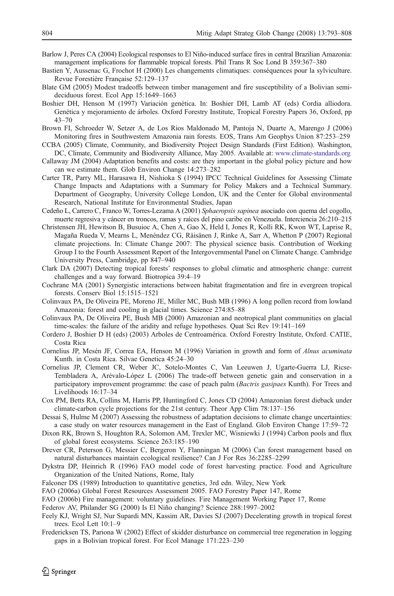- <span id="page-11-0"></span>Barlow J, Peres CA (2004) Ecological responses to El Niño-induced surface fires in central Brazilian Amazonia: management implications for flammable tropical forests. Phil Trans R Soc Lond B 359:367–380
- Bastien Y, Aussenac G, Frochot H (2000) Les changements climatiques: conséquences pour la sylviculture. Revue Forestière Française 52:129–137
- Blate GM (2005) Modest tradeoffs between timber management and fire susceptibility of a Bolivian semideciduous forest. Ecol App 15:1649–1663
- Boshier DH, Henson M (1997) Variación genética. In: Boshier DH, Lamb AT (eds) Cordia alliodora. Genética y mejoramiento de árboles. Oxford Forestry Institute, Tropical Forestry Papers 36, Oxford, pp 43–70
- Brown FI, Schroeder W, Setzer A, de Los Rios Maldonado M, Pantoja N, Duarte A, Marengo J (2006) Monitoring fires in Southwestern Amazonia rain forests. EOS, Trans Am Geophys Union 87:253–259
- CCBA (2005) Climate, Community, and Biodiversity Project Design Standards (First Edition). Washington, DC, Climate, Community and Biodiversity Alliance, May 2005. Available at: [www.climate-standards.org](http://www.climate-standards.org)
- Callaway JM (2004) Adaptation benefits and costs: are they important in the global policy picture and how can we estimate them. Glob Environ Change 14:273–282
- Carter TR, Parry ML, Harasawa H, Nishioka S (1994) IPCC Technical Guidelines for Assessing Climate Change Impacts and Adaptations with a Summary for Policy Makers and a Technical Summary. Department of Geography, University College London, UK and the Center for Global environmental Research, National Institute for Environmental Studies, Japan
- Cedeño L, Carrero C, Franco W, Torres-Lezama A (2001) Sphaeropsis sapinea asociado con quema del cogollo, muerte regresiva y cáncer en troncos, ramas y raíces del pino caribe en Venezuela. Interciencia 26:210–215
- Christensen JH, Hewitson B, Busuioc A, Chen A, Gao X, Held I, Jones R, Kolli RK, Kwon WT, Laprise R, Magaña Rueda V, Mearns L, Menéndez CG, Räisänen J, Rinke A, Sarr A, Whetton P (2007) Regional climate projections. In: Climate Change 2007: The physical science basis. Contribution of Working Group I to the Fourth Assessment Report of the Intergovernmental Panel on Climate Change. Cambridge University Press, Cambridge, pp 847–940
- Clark DA (2007) Detecting tropical forests' responses to global climatic and atmospheric change: current challenges and a way forward. Biotropica 39:4–19
- Cochrane MA (2001) Synergistic interactions between habitat fragmentation and fire in evergreen tropical forests. Conserv Biol 15:1515–1521
- Colinvaux PA, De Oliveira PE, Moreno JE, Miller MC, Bush MB (1996) A long pollen record from lowland Amazonia: forest and cooling in glacial times. Science 274:85–88
- Colinvaux PA, De Oliveira PE, Bush MB (2000) Amazonian and neotropical plant communities on glacial time-scales: the failure of the aridity and refuge hypotheses. Quat Sci Rev 19:141–169
- Cordero J, Boshier D H (eds) (2003) Arboles de Centroamérica. Oxford Forestry Institute, Oxford. CATIE, Costa Rica
- Cornelius JP, Mesén JF, Correa EA, Henson M (1996) Variation in growth and form of Alnus acuminata Kunth. in Costa Rica. Silvae Genetica 45:24–30
- Cornelius JP, Clement CR, Weber JC, Sotelo-Montes C, Van Leeuwen J, Ugarte-Guerra LJ, Ricse-Tembladera A, Arévalo-López L (2006) The trade-off between genetic gain and conservation in a participatory improvement programme: the case of peach palm (Bactris gasipaes Kunth). For Trees and Livelihoods 16:17–34
- Cox PM, Betts RA, Collins M, Harris PP, Huntingford C, Jones CD (2004) Amazonian forest dieback under climate-carbon cycle projections for the 21st century. Theor App Clim 78:137–156
- Dessai S, Hulme M (2007) Assessing the robustness of adaptation decisions to climate change uncertainties: a case study on water resources management in the East of England. Glob Environ Change 17:59–72
- Dixon RK, Brown S, Houghton RA, Solomon AM, Trexler MC, Wisniewki J (1994) Carbon pools and flux of global forest ecosystems. Science 263:185–190
- Drever CR, Peterson G, Messier C, Bergeron Y, Flanningan M (2006) Can forest management based on natural disturbances maintain ecological resilience? Can J For Res 36:2285–2299
- Dykstra DP, Heinrich R (1996) FAO model code of forest harvesting practice. Food and Agriculture Organization of the United Nations, Rome, Italy
- Falconer DS (1989) Introduction to quantitative genetics, 3rd edn. Wiley, New York
- FAO (2006a) Global Forest Resources Assessment 2005. FAO Forestry Paper 147, Rome
- FAO (2006b) Fire management: voluntary guidelines. Fire Management Working Paper 17, Rome

- Feely KJ, Wright SJ, Nur Supardi MN, Kassim AR, Davies SJ (2007) Decelerating growth in tropical forest trees. Ecol Lett 10:1–9
- Fredericksen TS, Pariona W (2002) Effect of skidder disturbance on commercial tree regeneration in logging gaps in a Bolivian tropical forest. For Ecol Manage 171:223–230

Federov AV, Philander SG (2000) Is El Niño changing? Science 288:1997–2002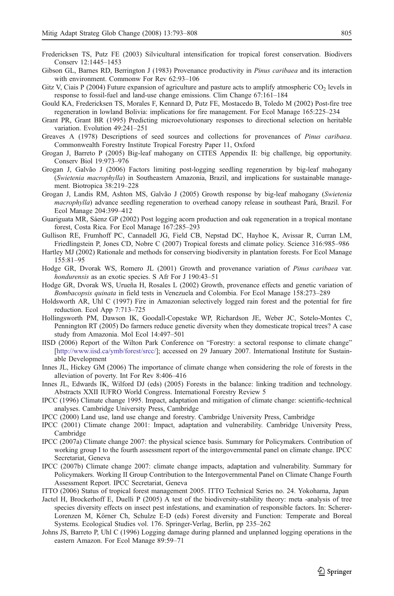- <span id="page-12-0"></span>Fredericksen TS, Putz FE (2003) Silvicultural intensification for tropical forest conservation. Biodivers Conserv 12:1445–1453
- Gibson GL, Barnes RD, Berrington J (1983) Provenance productivity in *Pinus caribaea* and its interaction with environment. Commonw For Rev 62:93–106
- Gitz V, Ciais P (2004) Future expansion of agriculture and pasture acts to amplify atmospheric  $CO<sub>2</sub>$  levels in response to fossil-fuel and land-use change emissions. Clim Change 67:161–184
- Gould KA, Fredericksen TS, Morales F, Kennard D, Putz FE, Mostacedo B, Toledo M (2002) Post-fire tree regeneration in lowland Bolivia: implications for fire management. For Ecol Manage 165:225–234
- Grant PR, Grant BR (1995) Predicting microevolutionary responses to directional selection on heritable variation. Evolution 49:241–251
- Greaves A (1978) Descriptions of seed sources and collections for provenances of Pinus caribaea. Commonwealth Forestry Institute Tropical Forestry Paper 11, Oxford
- Grogan J, Barreto P (2005) Big-leaf mahogany on CITES Appendix II: big challenge, big opportunity. Conserv Biol 19:973–976
- Grogan J, Galvão J (2006) Factors limiting post-logging seedling regeneration by big-leaf mahogany (Swietenia macrophylla) in Southeastern Amazonia, Brazil, and implications for sustainable management. Biotropica 38:219–228
- Grogan J, Landis RM, Ashton MS, Galvão J (2005) Growth response by big-leaf mahogany (Swietenia macrophylla) advance seedling regeneration to overhead canopy release in southeast Pará, Brazil. For Ecol Manage 204:399–412
- Guariguata MR, Sáenz GP (2002) Post logging acorn production and oak regeneration in a tropical montane forest, Costa Rica. For Ecol Manage 167:285–293
- Gullison RE, Frumhoff PC, Cannadell JG, Field CB, Nepstad DC, Hayhoe K, Avissar R, Curran LM, Friedlingstein P, Jones CD, Nobre C (2007) Tropical forests and climate policy. Science 316:985–986
- Hartley MJ (2002) Rationale and methods for conserving biodiversity in plantation forests. For Ecol Manage 155:81–95
- Hodge GR, Dvorak WS, Romero JL (2001) Growth and provenance variation of Pinus caribaea var. hondurensis as an exotic species. S Afr For J 190:43-51
- Hodge GR, Dvorak WS, Urueña H, Rosales L (2002) Growth, provenance effects and genetic variation of Bombacopsis quinata in field tests in Venezuela and Colombia. For Ecol Manage 158:273–289
- Holdsworth AR, Uhl C (1997) Fire in Amazonian selectively logged rain forest and the potential for fire reduction. Ecol App 7:713–725
- Hollingsworth PM, Dawson IK, Goodall-Copestake WP, Richardson JE, Weber JC, Sotelo-Montes C, Pennington RT (2005) Do farmers reduce genetic diversity when they domesticate tropical trees? A case study from Amazonia. Mol Ecol 14:497–501
- IISD (2006) Report of the Wilton Park Conference on "Forestry: a sectoral response to climate change" [\[http://www.iisd.ca/ymb/forest/srcc/\]](http://www.iisd.ca/ymb/forest/srcc/); accessed on 29 January 2007. International Institute for Sustainable Development
- Innes JL, Hickey GM (2006) The importance of climate change when considering the role of forests in the alleviation of poverty. Int For Rev 8:406–416
- Innes JL, Edwards IK, Wilford DJ (eds) (2005) Forests in the balance: linking tradition and technology. Abstracts XXII IUFRO World Congress. International Forestry Review 5
- IPCC (1996) Climate change 1995. Impact, adaptation and mitigation of climate change: scientific-technical analyses. Cambridge University Press, Cambridge
- IPCC (2000) Land use, land use change and forestry. Cambridge University Press, Cambridge
- IPCC (2001) Climate change 2001: Impact, adaptation and vulnerability. Cambridge University Press, Cambridge
- IPCC (2007a) Climate change 2007: the physical science basis. Summary for Policymakers. Contribution of working group I to the fourth assessment report of the intergovernmental panel on climate change. IPCC Secretariat, Geneva
- IPCC (2007b) Climate change 2007: climate change impacts, adaptation and vulnerability. Summary for Policymakers. Working II Group Contribution to the Intergovernmental Panel on Climate Change Fourth Assessment Report. IPCC Secretariat, Geneva
- ITTO (2006) Status of tropical forest management 2005. ITTO Technical Series no. 24. Yokohama, Japan
- Jactel H, Brockerhoff E, Duelli P (2005) A test of the biodiversity-stability theory: meta -analysis of tree species diversity effects on insect pest infestations, and examination of responsible factors. In: Scherer-Lorenzen M, Körner Ch, Schulze E-D (eds) Forest diversity and Function: Temperate and Boreal Systems. Ecological Studies vol. 176. Springer-Verlag, Berlin, pp 235–262
- Johns JS, Barreto P, Uhl C (1996) Logging damage during planned and unplanned logging operations in the eastern Amazon. For Ecol Manage 89:59–71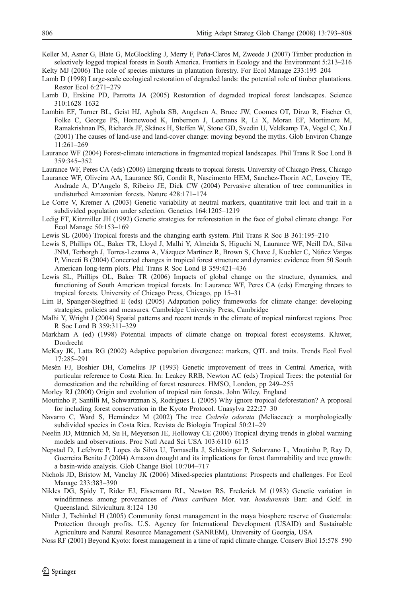<span id="page-13-0"></span>Keller M, Asner G, Blate G, McGlockling J, Merry F, Peña-Claros M, Zweede J (2007) Timber production in selectively logged tropical forests in South America. Frontiers in Ecology and the Environment 5:213–216 Kelty MJ (2006) The role of species mixtures in plantation forestry. For Ecol Manage 233:195–204

Lamb D (1998) Large-scale ecological restoration of degraded lands: the potential role of timber plantations.

Restor Ecol 6:271–279

- Lamb D, Erskine PD, Parrotta JA (2005) Restoration of degraded tropical forest landscapes. Science 310:1628–1632
- Lambin EF, Turner BL, Geist HJ, Agbola SB, Angelsen A, Bruce JW, Coomes OT, Dirzo R, Fischer G, Folke C, George PS, Homewood K, Imbernon J, Leemans R, Li X, Moran EF, Mortimore M, Ramakrishnan PS, Richards JF, Skånes H, Steffen W, Stone GD, Svedin U, Veldkamp TA, Vogel C, Xu J (2001) The causes of land-use and land-cover change: moving beyond the myths. Glob Environ Change  $11:261-269$
- Laurance WF (2004) Forest-climate interactions in fragmented tropical landscapes. Phil Trans R Soc Lond B 359:345–352

Laurance WF, Peres CA (eds) (2006) Emerging threats to tropical forests. University of Chicago Press, Chicago

- Laurance WF, Oliveira AA, Laurance SG, Condit R, Nascimento HEM, Sanchez-Thorin AC, Lovejoy TE, Andrade A, D'Angelo S, Ribeiro JE, Dick CW (2004) Pervasive alteration of tree communities in undisturbed Amazonian forests. Nature 428:171–174
- Le Corre V, Kremer A (2003) Genetic variability at neutral markers, quantitative trait loci and trait in a subdivided population under selection. Genetics 164:1205–1219
- Ledig FT, Kitzmiller JH (1992) Genetic strategies for reforestation in the face of global climate change. For Ecol Manage 50:153–169
- Lewis SL (2006) Tropical forests and the changing earth system. Phil Trans R Soc B 361:195–210
- Lewis S, Phillips OL, Baker TR, Lloyd J, Malhi Y, Almeida S, Higuchi N, Laurance WF, Neill DA, Silva JNM, Terborgh J, Torres-Lezama A, Vázquez Martínez R, Brown S, Chave J, Kuebler C, Núñez Vargas P, Vinceti B (2004) Concerted changes in tropical forest structure and dynamics: evidence from 50 South American long-term plots. Phil Trans R Soc Lond B 359:421–436
- Lewis SL, Phillips OL, Baker TR (2006) Impacts of global change on the structure, dynamics, and functioning of South American tropical forests. In: Laurance WF, Peres CA (eds) Emerging threats to tropical forests. University of Chicago Press, Chicago, pp 15–31
- Lim B, Spanger-Siegfried E (eds) (2005) Adaptation policy frameworks for climate change: developing strategies, policies and measures. Cambridge University Press, Cambridge
- Malhi Y, Wright J (2004) Spatial patterns and recent trends in the climate of tropical rainforest regions. Proc R Soc Lond B 359:311–329
- Markham A (ed) (1998) Potential impacts of climate change on tropical forest ecosystems. Kluwer, Dordrecht
- McKay JK, Latta RG (2002) Adaptive population divergence: markers, QTL and traits. Trends Ecol Evol 17:285–291
- Mesén FJ, Boshier DH, Cornelius JP (1993) Genetic improvement of trees in Central America, with particular reference to Costa Rica. In: Leakey RRB, Newton AC (eds) Tropical Trees: the potential for domestication and the rebuilding of forest resources. HMSO, London, pp 249–255
- Morley RJ (2000) Origin and evolution of tropical rain forests. John Wiley, England
- Moutinho P, Santilli M, Schwartzman S, Rodrigues L (2005) Why ignore tropical deforestation? A proposal for including forest conservation in the Kyoto Protocol. Unasylva 222:27–30
- Navarro C, Ward S, Hernández M (2002) The tree Cedrela odorata (Meliaceae): a morphologically subdivided species in Costa Rica. Revista de Biologia Tropical 50:21–29
- Neelin JD, Münnich M, Su H, Meyerson JE, Holloway CE (2006) Tropical drying trends in global warming models and observations. Proc Natl Acad Sci USA 103:6110–6115
- Nepstad D, Lefebvre P, Lopes da Silva U, Tomasella J, Schlesinger P, Solorzano L, Moutinho P, Ray D, Guerreira Benito J (2004) Amazon drought and its implications for forest flammability and tree growth: a basin-wide analysis. Glob Change Biol 10:704–717
- Nichols JD, Bristow M, Vanclay JK (2006) Mixed-species plantations: Prospects and challenges. For Ecol Manage 233:383–390
- Nikles DG, Spidy T, Rider EJ, Eissemann RL, Newton RS, Frederick M (1983) Genetic variation in windfirmness among provenances of Pinus caribaea Mor. var. hondurensis Barr. and Golf. in Queensland. Silvicultura 8:124–130
- Nittler J, Tschinkel H (2005) Community forest management in the maya biosphere reserve of Guatemala: Protection through profits. U.S. Agency for International Development (USAID) and Sustainable Agriculture and Natural Resource Management (SANREM), University of Georgia, USA
- Noss RF (2001) Beyond Kyoto: forest management in a time of rapid climate change. Conserv Biol 15:578–590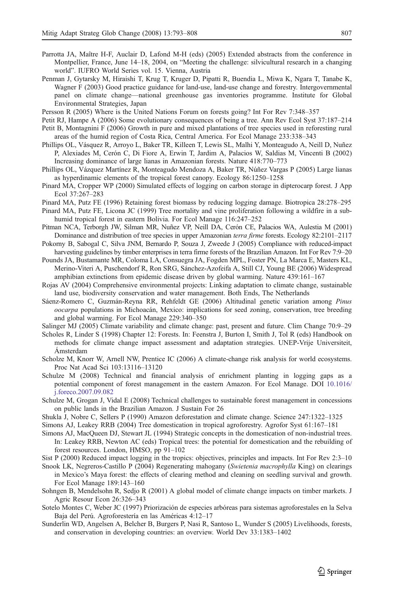- <span id="page-14-0"></span>Parrotta JA, Maître H-F, Auclair D, Lafond M-H (eds) (2005) Extended abstracts from the conference in Montpellier, France, June 14–18, 2004, on "Meeting the challenge: silvicultural research in a changing world". IUFRO World Series vol. 15. Vienna, Austria
- Penman J, Gytarsky M, Hiraishi T, Krug T, Kruger D, Pipatti R, Buendia L, Miwa K, Ngara T, Tanabe K, Wagner F (2003) Good practice guidance for land-use, land-use change and forestry. Intergovernmental panel on climate change—national greenhouse gas inventories programme. Institute for Global Environmental Strategies, Japan
- Persson R (2005) Where is the United Nations Forum on forests going? Int For Rev 7:348–357
- Petit RJ, Hampe A (2006) Some evolutionary consequences of being a tree. Ann Rev Ecol Syst 37:187–214 Petit B, Montagnini F (2006) Growth in pure and mixed plantations of tree species used in reforesting rural areas of the humid region of Costa Rica, Central America. For Ecol Manage 233:338–343
- Phillips OL, Vásquez R, Arroyo L, Baker TR, Killeen T, Lewis SL, Malhi Y, Monteagudo A, Neill D, Nuñez P, Alexiades M, Cerón C, Di Fiore A, Erwin T, Jardim A, Palacios W, Saldias M, Vincenti B (2002) Increasing dominance of large lianas in Amazonian forests. Nature 418:770–773
- Phillips OL, Vázquez Martínez R, Monteagudo Mendoza A, Baker TR, Núñez Vargas P (2005) Large lianas as hyperdinamic elements of the tropical forest canopy. Ecology 86:1250–1258
- Pinard MA, Cropper WP (2000) Simulated effects of logging on carbon storage in dipterocarp forest. J App Ecol 37:267–283
- Pinard MA, Putz FE (1996) Retaining forest biomass by reducing logging damage. Biotropica 28:278–295
- Pinard MA, Putz FE, Licona JC (1999) Tree mortality and vine proliferation following a wildfire in a subhumid tropical forest in eastern Bolivia. For Ecol Manage 116:247–252
- Pitman NCA, Terborgh JW, Silman MR, Nuñez VP, Neill DA, Cerón CE, Palacios WA, Aulestia M (2001) Dominance and distribution of tree species in upper Amazonian terra firme forests. Ecology 82:2101-2117
- Pokorny B, Sabogal C, Silva JNM, Bernardo P, Souza J, Zweede J (2005) Compliance with reduced-impact harvesting guidelines by timber enterprises in terra firme forests of the Brazilian Amazon. Int For Rev 7:9–20
- Pounds JA, Bustamante MR, Coloma LA, Consuegra JA, Fogden MPL, Foster PN, La Marca E, Masters KL, Merino-Viteri A, Puschendorf R, Ron SRG, Sánchez-Azofeifa A, Still CJ, Young BE (2006) Widespread amphibian extinctions from epidemic disease driven by global warming. Nature 439:161–167
- Rojas AV (2004) Comprehensive environmental projects: Linking adaptation to climate change, sustainable land use, biodiversity conservation and water management. Both Ends, The Netherlands
- Sáenz-Romero C, Guzmán-Reyna RR, Rehfeldt GE (2006) Altitudinal genetic variation among Pinus oocarpa populations in Michoacán, Mexico: implications for seed zoning, conservation, tree breeding and global warming. For Ecol Manage 229:340–350
- Salinger MJ (2005) Climate variability and climate change: past, present and future. Clim Change 70:9–29
- Scholes R, Linder S (1998) Chapter 12: Forests. In: Feenstra J, Burton I, Smith J, Tol R (eds) Handbook on methods for climate change impact assessment and adaptation strategies. UNEP-Vrije Universiteit, Ámsterdam
- Scholze M, Knorr W, Arnell NW, Prentice IC (2006) A climate-change risk analysis for world ecosystems. Proc Nat Acad Sci 103:13116–13120
- Schulze M (2008) Technical and financial analysis of enrichment planting in logging gaps as a potential component of forest management in the eastern Amazon. For Ecol Manage. DOI [10.1016/](http://dx.doi.org/10.1016/j.foreco.2007.09.082) [j.foreco.2007.09.082](http://dx.doi.org/10.1016/j.foreco.2007.09.082)
- Schulze M, Grogan J, Vidal E (2008) Technical challenges to sustainable forest management in concessions on public lands in the Brazilian Amazon. J Sustain For 26
- Shukla J, Nobre C, Sellers P (1990) Amazon deforestation and climate change. Science 247:1322–1325
- Simons AJ, Leakey RRB (2004) Tree domestication in tropical agroforestry. Agrofor Syst 61:167–181
- Simons AJ, MacQueen DJ, Stewart JL (1994) Strategic concepts in the domestication of non-industrial trees. In: Leakey RRB, Newton AC (eds) Tropical trees: the potential for domestication and the rebuilding of forest resources. London, HMSO, pp 91–102
- Sist P (2000) Reduced impact logging in the tropics: objectives, principles and impacts. Int For Rev 2:3–10
- Snook LK, Negreros-Castillo P (2004) Regenerating mahogany (Swietenia macrophylla King) on clearings in Mexico's Maya forest: the effects of clearing method and cleaning on seedling survival and growth. For Ecol Manage 189:143–160
- Sohngen B, Mendelsohn R, Sedjo R (2001) A global model of climate change impacts on timber markets. J Agric Resour Econ 26:326–343
- Sotelo Montes C, Weber JC (1997) Priorización de especies arbóreas para sistemas agroforestales en la Selva Baja del Perú. Agroforestería en las Américas 4:12–17
- Sunderlin WD, Angelsen A, Belcher B, Burgers P, Nasi R, Santoso L, Wunder S (2005) Livelihoods, forests, and conservation in developing countries: an overview. World Dev 33:1383–1402